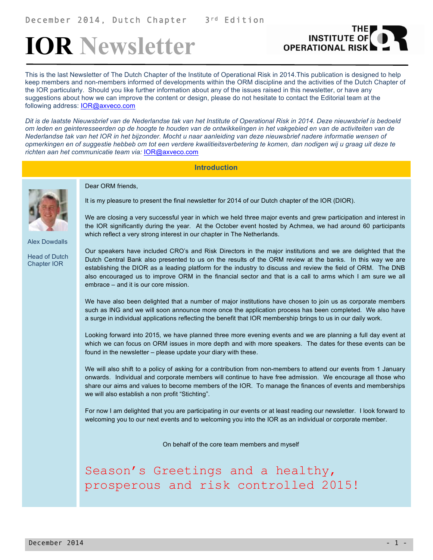# **IOR Newsletter**



This is the last Newsletter of The Dutch Chapter of the Institute of Operational Risk in 2014.This publication is designed to help keep members and non-members informed of developments within the ORM discipline and the activities of the Dutch Chapter of the IOR particularly. Should you like further information about any of the issues raised in this newsletter, or have any suggestions about how we can improve the content or design, please do not hesitate to contact the Editorial team at the following address: IOR@axveco.com

*Dit is de laatste Nieuwsbrief van de Nederlandse tak van het Institute of Operational Risk in 2014. Deze nieuwsbrief is bedoeld om leden en geinteresseerden op de hoogte te houden van de ontwikkelingen in het vakgebied en van de activiteiten van de Nederlandse tak van het IOR in het bijzonder. Mocht u naar aanleiding van deze nieuwsbrief nadere informatie wensen of opmerkingen en of suggestie hebbeb om tot een verdere kwalitieitsverbetering te komen, dan nodigen wij u graag uit deze te richten aan het communicatie team via:* IOR@axveco.com

# **Introduction**



Alex Dowdalls

Head of Dutch Chapter IOR

Dear ORM friends,

It is my pleasure to present the final newsletter for 2014 of our Dutch chapter of the IOR (DIOR).

We are closing a very successful year in which we held three major events and grew participation and interest in the IOR significantly during the year. At the October event hosted by Achmea, we had around 60 participants which reflect a very strong interest in our chapter in The Netherlands.

Our speakers have included CRO's and Risk Directors in the major institutions and we are delighted that the Dutch Central Bank also presented to us on the results of the ORM review at the banks. In this way we are establishing the DIOR as a leading platform for the industry to discuss and review the field of ORM. The DNB also encouraged us to improve ORM in the financial sector and that is a call to arms which I am sure we all embrace – and it is our core mission.

We have also been delighted that a number of major institutions have chosen to join us as corporate members such as ING and we will soon announce more once the application process has been completed. We also have a surge in individual applications reflecting the benefit that IOR membership brings to us in our daily work.

Looking forward into 2015, we have planned three more evening events and we are planning a full day event at which we can focus on ORM issues in more depth and with more speakers. The dates for these events can be found in the newsletter – please update your diary with these.

We will also shift to a policy of asking for a contribution from non-members to attend our events from 1 January onwards. Individual and corporate members will continue to have free admission. We encourage all those who share our aims and values to become members of the IOR. To manage the finances of events and memberships we will also establish a non profit "Stichting".

For now I am delighted that you are participating in our events or at least reading our newsletter. I look forward to welcoming you to our next events and to welcoming you into the IOR as an individual or corporate member.

On behalf of the core team members and myself

Season's Greetings and a healthy, prosperous and risk controlled 2015!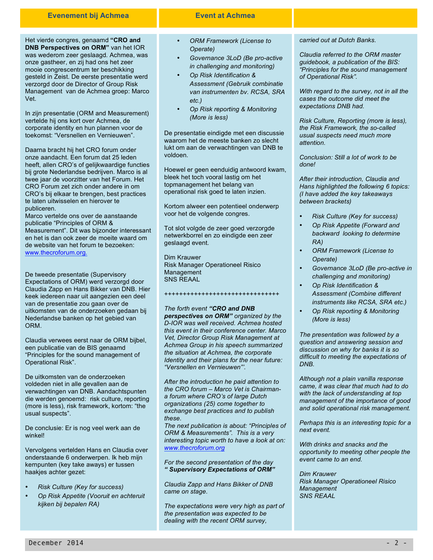# **Evenement bij Achmea Event at Achmea**

Het vierde congres, genaamd **"CRO and DNB Perspectives on ORM"** van het IOR was wederom zeer geslaagd. Achmea, was onze gastheer, en zij had ons het zeer mooie congrescentrum ter beschikking gesteld in Zeist. De eerste presentatie werd verzorgd door de Director of Group Risk Management van de Achmea groep: Marco Vet.

In zijn presentatie (ORM and Measurement) vertelde hij ons kort over Achmea, de corporate identity en hun plannen voor de toekomst: "Versnellen en Vernieuwen".

Daarna bracht hij het CRO forum onder onze aandacht. Een forum dat 25 leden heeft, allen CRO's of gelijkwaardige functies bij grote Nederlandse bedrijven. Marco is al twee jaar de voorzitter van het Forum. Het CRO Forum zet zich onder andere in om CRO's bij elkaar te brengen, best practices te laten uitwisselen en hierover te publiceren.

Marco vertelde ons over de aanstaande publicatie "Principles of ORM & Measurement". Dit was bijzonder interessant en het is dan ook zeer de moeite waard om de website van het forum te bezoeken: www.thecroforum.org.

De tweede presentatie (Supervisory Expectations of ORM) werd verzorgd door Claudia Zapp en Hans Bikker van DNB. Hier keek iedereen naar uit aangezien een deel van de presentatie zou gaan over de uitkomsten van de onderzoeken gedaan bij Nederlandse banken op het gebied van ORM.

Claudia verwees eerst naar de ORM bijbel, een publicatie van de BIS genaamd "Principles for the sound management of Operational Risk".

De uitkomsten van de onderzoeken voldeden niet in alle gevallen aan de verwachtingen van DNB. Aandachtspunten die werden genoemd: risk culture, reporting (more is less), risk framework, kortom: "the usual suspects".

De conclusie: Er is nog veel werk aan de winkel!

Vervolgens vertelden Hans en Claudia over onderstaande 6 onderwerpen. Ik heb mijn kernpunten (key take aways) er tussen haakjes achter gezet:

- *Risk Culture (Key for success)*
- *Op Risk Appetite (Vooruit en achteruit kijken bij bepalen RA)*

- *ORM Framework (License to Operate)*
- *Governance 3LoD (Be pro-active in challenging and monitoring)*
- *Op Risk Identification & Assessment (Gebruik combinatie van instrumenten bv. RCSA, SRA etc.)*
- *Op Risk reporting & Monitoring (More is less)*

De presentatie eindigde met een discussie waarom het de meeste banken zo slecht lukt om aan de verwachtingen van DNB te voldoen.

Hoewel er geen eenduidig antwoord kwam, bleek het toch vooral lastig om het topmanagement het belang van operational risk goed te laten inzien.

Kortom alweer een potentieel onderwerp voor het de volgende congres.

Tot slot volgde de zeer goed verzorgde netwerkborrel en zo eindigde een zeer geslaagd event.

Dim Krauwer Risk Manager Operationeel Risico Management SNS REAAL

*The forth event "CRO and DNB* 

+++++++++++++++++++++++++++++++

*perspectives on ORM" organized by the D-IOR was well received. Achmea hosted this event in their conference center. Marco Vet, Director Group Risk Management at Achmea Group in his speech summarized the situation at Achmea, the corporate Identity and their plans for the near future: "Versnellen en Vernieuwen"'.*

*After the introduction he paid attention to the CRO forum – Marco Vet is Chairmana forum where CRO's of large Dutch organizations (25) come together to exchange best practices and to publish these.*

*The next publication is about: "Principles of ORM & Measurements". This is a very interesting topic worth to have a look at on: www.thecroforum.org*

#### *For the second presentation of the day " Supervisory Expectations of ORM"*

*Claudia Zapp and Hans Bikker of DNB came on stage.* 

*The expectations were very high as part of the presentation was expected to be dealing with the recent ORM survey,*

#### *carried out at Dutch Banks.*

*Claudia referred to the ORM master guidebook, a publication of the BIS: "Principles for the sound management of Operational Risk".*

*With regard to the survey, not in all the cases the outcome did meet the expectations DNB had.* 

*Risk Culture, Reporting (more is less), the Risk Framework, the so-called usual suspects need much more attention.* 

*Conclusion: Still a lot of work to be done!*

*After their introduction, Claudia and Hans highlighted the following 6 topics: (I have added the key takeaways between brackets)*

- *Risk Culture (Key for success)*
- *Op Risk Appetite (Forward and backward looking to determine RA)*
- *ORM Framework (License to Operate)*
- *Governance 3LoD (Be pro-active in challenging and monitoring)*
- *Op Risk Identification & Assessment (Combine different instruments like RCSA, SRA etc.)*
- *Op Risk reporting & Monitoring (More is less)*

*The presentation was followed by a question and answering session and discussion on why for banks it is so difficult to meeting the expectations of DNB.*

*Although not a plain vanilla response came, it was clear that much had to do with the lack of understanding at top management of the importance of good and solid operational risk management.*

*Perhaps this is an interesting topic for a next event.*

*With drinks and snacks and the opportunity to meeting other people the event came to an end.*

*Dim Krauwer Risk Manager Operationeel Risico Management SNS REAAL*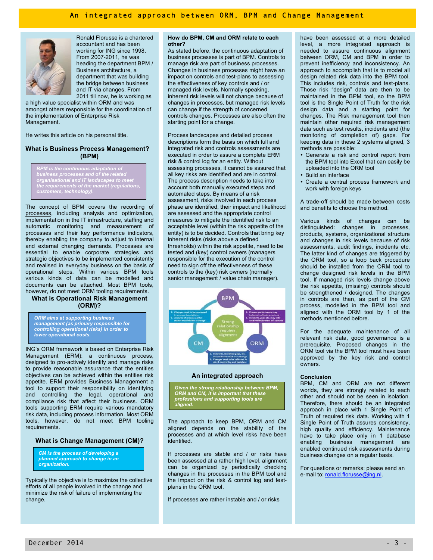

Ronald Florusse is a chartered accountant and has been working for ING since 1998. From 2007-2011, he was heading the department BPM / Business architecture, a department that was building the bridge between business and IT via changes. From 2011 till now, he is working as

*professions and supporting tools are aligned.*  Management. a high value specialist within ORM and was amongst others responsible for the coordination of the implementation of Enterprise Risk

He writes this article on his personal title.<br> **Process landscapes and detailed process** in onitoring monitoring He writes this article on his personal title.

#### **What is Business Process Management? (BPM)**

*BPM is the continuous adaptation of business processes and of the related organisational and IT landscapes to meet the requirements of the market (regulations, customers, technology)***.** 

The concept of BPM covers the recording of processes, including analysis and optimization, implementation in the IT infrastructure, staffing and automatic monitoring and measurement of processes and their key performance indicators, thereby enabling the company to adjust to internal and external changing demands. Processes are essential to enable corporate strategies and strategic objectives to be implemented consistently and realised in everyday business on the basis of operational steps. Within various BPM tools various kinds of data can be modelled and documents can be attached. Most BPM tools, however, do not meet ORM tooling requirements.

## **What is Operational Risk Management (ORM)?**

*ORM aims at supporting business management (as primary responsible for controlling operational risks) in order to lower operational costs.*

ING's ORM framework is based on Enterprise Risk Management (ERM): a continuous process, designed to pro-actively identify and manage risks to provide reasonable assurance that the entities objectives can be achieved within the entities risk appetite. ERM provides Business Management a tool to support their responsibility on identifying and controlling the legal, operational and compliance risk that affect their business. ORM tools supporting ERM require various mandatory risk data, including process information. Most ORM tools, however, do not meet BPM tooling requirements.

#### **What is Change Management (CM)?**

*CM is the process of developing a planned approach to change in an organization.* 

Typically the objective is to maximize the collective efforts of all people involved in the change and minimize the risk of failure of implementing the change.

#### **How do BPM, CM and ORM relate to each other?**

As stated before, the continuous adaptation of business processes is part of BPM. Controls to manage risk are part of business processes. Changes in business processes might have an impact on controls and test-plans to assessing the effectiveness of key controls and / or managed risk levels. Normally speaking, inherent risk levels will not change because of changes in processes, but managed risk levels can change if the strength of concerned controls changes. Processes are also often the starting point for a change.

descriptions form the basis on which full and integrated risk and controls assessments are executed in order to assure a complete ERM risk & control log for an entity. Without assessing processes, it cannot be assured that all key risks are identified and are in control. The process description needs to take into account both manually executed steps and automated steps. By means of a risk assessment, risks involved in each process phase are identified, their impact and likelihood are assessed and the appropriate control measures to mitigate the identified risk to an acceptable level (within the risk appetite of the entity) is to be decided. Controls that bring key inherent risks (risks above a defined thresholds) within the risk appetite, need to be tested and (key) control owners (managers responsible for the execution of the control need to sign off the effectiveness of these controls to the (key) risk owners (normally senior management / value chain manager).



#### **An integrated approach**

*Given the strong relationship between BPM, ORM and CM, it is important that these professions and supporting tools are aligned.* 

The approach to keep BPM, ORM and CM aligned depends on the stability of the processes and at which level risks have been identified.

If processes are stable and / or risks have been assessed at a rather high level, alignment can be organized by periodically checking changes in the processes in the BPM tool and the impact on the risk & control log and testplans in the ORM tool.

If processes are rather instable and / or risks

*ORM aims at supporting business management (as primary responsible for controlling opera-tional risks) in order to lower operational costs ORM aims at*  data such as test results, incidents and (the have been assessed at a more detailed level, a more integrated approach is needed to assure continuous alignment between ORM, CM and BPM in order to prevent inefficiency and inconsistency. An approach to accomplish that is to model all design related risk data into the BPM tool. This includes risk, controls and test-plans. Those risk "design" data are then to be maintained in the BPM tool, so the BPM tool is the Single Point of Truth for the risk design data and a starting point for changes. The Risk management tool then maintain other required risk management monitoring of completion of) gaps. For keeping data in these 2 systems aligned, 3 methods are possible:

- Generate a risk and control report from the BPM tool into Excel that can easily be uploaded into the ORM tool
- Build an interface
- Create a central process framework and work with foreign keys

A trade-off should be made between costs and benefits to choose the method.

Various kinds of changes can be distinguished: changes in processes, products, systems, organizational structure and changes in risk levels because of risk assessments, audit findings, incidents etc. The latter kind of changes are triggered by the ORM tool, so a loop back procedure should be installed from the ORM tool to change designed risk levels in the BPM tool. If managed risk levels change above the risk appetite, (missing) controls should be strengthened / designed. The changes in controls are than, as part of the CM process, modelled in the BPM tool and aligned with the ORM tool by 1 of the methods mentioned before.

For the adequate maintenance of all relevant risk data, good governance is a prerequisite. Proposed changes in the ORM tool via the BPM tool must have been approved by the key risk and control owners.

#### **Conclusion**

BPM, CM and ORM are not different worlds, they are strongly related to each other and should not be seen in isolation. Therefore, there should be an integrated approach in place with 1 Single Point of Truth of required risk data. Working with 1 Single Point of Truth assures consistency, high quality and efficiency. Maintenance have to take place only in 1 database enabling business management are enabled continued risk assessments during business changes on a regular basis.

For questions or remarks: please send an e-mail to: ronald.florusse@ing.nl.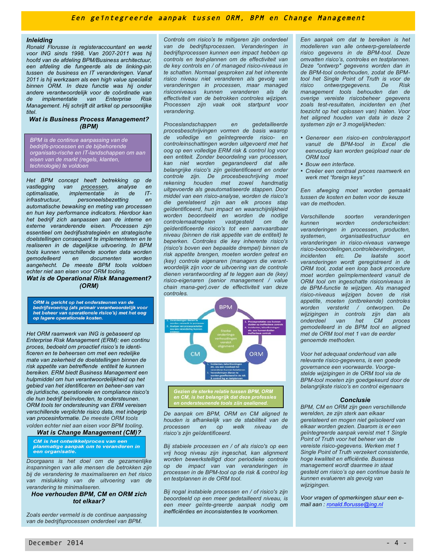# Een geïntegreerde aanpak tussen ORM, BPM en Change Management

#### *Inleiding*

*Ronald Florusse is registeraccountant en werkt voor ING sinds 1998. Van 2007-2011 was hij hoofd van de afdeling BPM/Business architectuur, een afdeling die fungeerde als de linking-pin tussen de business en IT veranderingen. Vanaf 2011 is hij werkzaam als een high value specialist binnen ORM. In deze functie was hij onder andere verantwoordelijk voor de coördinatie van de implementatie van Enterprise Risk Management. Hij schrijft dit artikel op persoonlijke titel*.

#### *Wat is Business Process Management? (BPM)*

*BPM is de continue aanpassing van de bedrijfs-processen en de bijbehorende organisato-rische en IT-landschappen om aan eisen van de markt (regels, klanten, technologie) te voldoen*

*Het BPM concept heeft betrekking op de vastlegging van processen, analyse en optimalisatie, implementatie in de ITinfrastructuur, personeelsbezetting en automatische bewaking en meting van processen en hun key performance indicators. Hierdoor kan het bedrijf zich aanpassen aan de interne en externe veranderende eisen. Processen zijn essentieel om bedrijfsstrategieën en strategische doelstellingen consequent te implementeren en te realiseren in de dagelijkse uitvoering. In BPM tools kunnen verschillende soorten data worden gemodelleerd en documenten worden aangehecht. De meeste BPM tools voldoen echter niet aan eisen voor ORM tooling. Wat is de Operational Risk Management?* 

*(ORM)*

ORM is gericht op het ondersteunen van de bedrijfsvoering (als primair verantwoordelijk voor het beheer van operationele risico's) met het oog<br>op lagere operationele kosten.

*Het ORM raamwerk van ING is gebaseerd op Enterprise Risk Management (ERM): een continu proces, bedoeld om proactief risico's te identificeren en te beheersen om met een redelijke mate van zekerheid de doelstellingen binnen de risk appetite van betreffende entiteit te kunnen bereiken. ERM biedt Business Management een hulpmiddel om hun verantwoordelijkheid op het gebied van het identificeren en beheer-sen van de juridische, operationele en compliance risico's die hun bedrijf beïnvloeden, te ondersteunen. ORM tools ter ondersteuning van ERM vereisen verschillende verplichte risico data, met inbegrip van procesinformatie. De meeste ORM tools volden echter niet aan eisen voor BPM tooling*.

#### *Wat is Change Management (CM)?*

CM is het ontwikkelproces van een planmatige aanpak om te veranderen in een organisatie.

*Doorgaans is het doel om de gezamenlijke inspanningen van alle mensen die betrokken zijn bij de verandering te maximaliseren en het risico van mislukking van de uitvoering van de verandering te minimaliseren.* 

#### *Hoe verhouden BPM, CM en ORM zich tot elkaar?*

*Zoals eerder vermeld is de continue aanpassing van de bedrijfsprocessen onderdeel van BPM.*

*Controls om risico's te mitigeren zijn onderdeel van de bedrijfsprocessen. Veranderingen in bedrijfsprocessen kunnen een impact hebben op controls en test-plannen om de effectiviteit van de key controls en / of managed risico-niveaus in te schatten. Normaal gesproken zal het inherente risico niveau niet veranderen als gevolg van veranderingen in processen, maar managed risiconiveaus kunnen veranderen als de effectiviteit van de betrokken controles wijzigen. Processen zijn vaak ook startpunt voor verandering.* 

*Proceslandschappen en gedetailleerde procesbeschrijvingen vormen de basis waarop de volledige en geïntegreerde risico- en controleinschattingen worden uitgevoerd met het oog op een volledige ERM risk & control log voor een entiteit. Zonder beoordeling van processen, kan niet worden gegarandeerd dat alle belangrijke risico's zijn geïdentificeerd en onder controle zijn. De procesbeschrijving moet rekening houden met zowel handmatig uitgevoerde als geautomatiseerde stappen. Door middel van een risico-analyse, worden de risico's die gerelateerd zijn aan elk proces stap geïdentificeerd, hun impact en waarschijnlijkheid worden beoordeeld en worden de nodige controlemaatregelen vastgesteld om de geïdentificeerde risico's tot een aanvaardbaar niveau (binnen de risk appetite van de entiteit) te beperken. Controles die key inherente risico's (risico's boven een bepaalde drempel) binnen de risk appetite brengen, moeten worden getest en (key) controle eigenaren (managers die verantwoordelijk zijn voor de uitvoering van de controle dienen verantwoording af te leggen aan de (key) risico-eigenaren (senior management / value chain mana-ger).over de effectiviteit van deze controles.*



*Gezien de sterke relatie tussen BPM, ORM en CM, is het belangrijk dat deze professies en ondersteunende tools zijn gealigned.*

*De aanpak om BPM, ORM en CM aligned te houden is afhankelijk van de stabiliteit van de processen en op welk niveau de risico's zijn geïdentificeerd.* 

*Bij stabiele processen en / of als risico's op een vrij hoog niveau zijn ingeschat, kan alignment worden bewerkstelligd door periodieke controle op de impact van van veranderingen in processen in de BPM-tool op de risk & control log en testplannen in de ORM tool.*

*Bij nogal instabiele processen en / of risico's zijn beoordeeld op een meer gedetailleerd niveau, is een meer geïnte-greerde aanpak nodig om inefficiënties en inconsistenties te voorkomen.*

*Een aanpak om dat te bereiken is het modelleren van alle ontwerp-gerelateerde risico gegevens in de BPM-tool. Deze omvatten risico's, controles en testplannen. Deze "ontwerp" gegevens worden dan in de BPM-tool onderhouden, zodat de BPMtool het Single Point of Truth is voor de risico ontwerpgegevens. De Risk management tools behouden dan de overige vereiste risicobeheer gegevens zoals test-resultaten, incidenten en (het toezicht op het oplossen van) hiaten. Voor het aligned houden van data in deze 2 systemen zijn er 3 mogelijkheden:*

- *Genereer een risico-en controlerapport vanuit de BPM-tool in Excel die eenvoudig kan worden geüpload naar de ORM tool*
- *Bouw een interface.*
- *Creëer een centraal proces raamwerk en werk met "foreign keys"*

*Een afweging moet worden gemaakt tussen de kosten en baten voor de keuze van de methoden.* 

*Verschillende soorten veranderingen kunnen worden onderscheiden: veranderingen in processen, producten, systemen, organisatiestructuur en veranderingen in risico-niveaus vanwege risico-beoordelingen,controlebevindingen, incidenten etc. De laatste soort veranderingen wordt geregistreerd in de ORM tool, zodat een loop back procedure moet worden geïmplementeerd vanuit de ORM tool om ingeschatte risiconiveaus in de BPM-functie te wijzigen. Als managed risico-niveaus wijzigen boven de risk appetite, moeten (ontbrekende) controles worden versterkt / ontworpen. De wijzigingen in controls zijn dan als*   $b$ *onderdeel van het CM gemodelleerd in de BPM tool en aligned met de ORM tool met 1 van de eerder genoemde methoden.* 

*Voor het adequaat onderhoud van alle relevante risico-gegevens, is een goede governance een voorwaarde. Voorgestelde wijzigingen in de ORM tool via de BPM-tool moeten zijn goedgekeurd door de belangrijkste risico's en control eigenaars*

#### *Conclusie*

*BPM, CM en ORM zijn geen verschillende werelden, ze zijn sterk aan elkaar gerelateerd en mogen niet geïsoleerd van elkaar worden gezien. Daarom is er een geïntegreerde aanpak vereist met 1 Single Point of Truth voor het beheer van de vereiste risico-gegevens. Werken met 1 Single Point of Truth verzekert consistentie, hoge kwaliteit en efficiëntie. Business management wordt daarmee in staat gesteld om risico's op een continue basis te kunnen evalueren als gevolg van wijzigingen.*

*Voor vragen of opmerkingen stuur een email aan : ronald.florusse@ing.nl*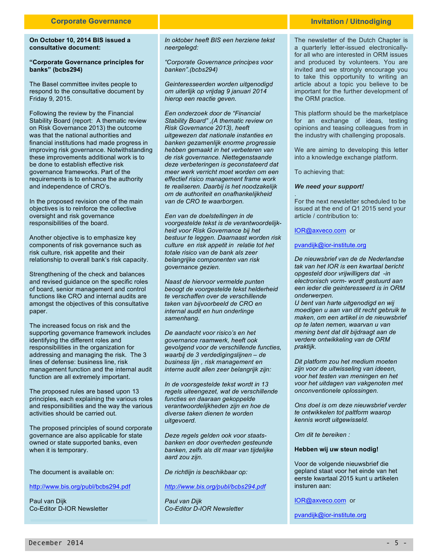#### **On October 10, 2014 BIS issued a consultative document:**

#### **"Corporate Governance principles for banks" (bcbs294)**

The Basel committee invites people to respond to the consultative document by Friday 9, 2015.

Following the review by the Financial Stability Board (report: A thematic review on Risk Governance 2013) the outcome was that the national authorities and financial institutions had made progress in improving risk governance. Notwithstanding these improvements additional work is to be done to establish effective risk governance frameworks. Part of the requirements is to enhance the authority and independence of CRO's.

In the proposed revision one of the main objectives is to reinforce the collective oversight and risk governance responsibilities of the board.

Another objective is to emphasize key components of risk governance such as risk culture, risk appetite and their relationship to overall bank's risk capacity.

Strengthening of the check and balances and revised guidance on the specific roles of board, senior management and control functions like CRO and internal audits are amongst the objectives of this consultative paper.

The increased focus on risk and the supporting governance framework includes identifying the different roles and responsibilities in the organization for addressing and managing the risk. The 3 lines of defense: business line, risk management function and the internal audit function are all extremely important.

The proposed rules are based upon 13 principles, each explaining the various roles and responsibilities and the way the various activities should be carried out.

The proposed principles of sound corporate governance are also applicable for state owned or state supported banks, even when it is temporary.

The document is available on:

http://www.bis.org/publ/bcbs294.pdf

Paul van Dijk Co-Editor D-IOR Newsletter *In oktober heeft BIS een herziene tekst neergelegd:*

*"Corporate Governance principes voor banken".(bcbs294)*

*Geinteresseerden worden uitgenodigd om uiterlijk op vrijdag 9 januari 2014 hierop een reactie geven.*

*Een onderzoek door de "Financial Stability Board" ,(A thematic review on Risk Governance 2013), heeft uitgewezen dat nationale instanties en banken gezamenlijk enorme progressie hebben gemaakt in het verbeteren van de risk governance. Niettegenstaande deze verbeteringen is geconstateerd dat meer werk verricht moet worden om een effectief risico management frame work te realiseren. Daarbij is het noodzakelijk om de authoriteit en onafhankelijkheid van de CRO te waarborgen.*

*Een van de doelstellingen in de voorgestelde tekst is de verantwoordelijkheid voor Risk Governance bij het bestuur te leggen. Daarnaast worden risk culture en risk appetit in relatie tot het totale risico van de bank als zeer belangrijke componenten van risk governance gezien.*

*Naast de hiervoor vermelde punten beoogt de voorgestelde tekst helderheid te verschaffen over de verschillende taken van bijvoorbeeld de CRO en internal audit en hun onderlinge samenhang.*

*De aandacht voor risico's en het governance raamwerk, heeft ook gevolgend voor de verschillende functies, waarbij de 3 verdedigingslijnen – de business lijn , risk management en interne audit allen zeer belangrijk zijn:* 

*In de voorsgestelde tekst wordt in 13 regels uiteengezet, wat de verschillende functies en daaraan gekoppelde verantwoordelijkheden zijn en hoe de diverse taken dienen te worden uitgevoerd.*

*Deze regels gelden ook voor staatsbanken en door overheden gesteunde banken, zelfs als dit maar van tijdelijke aard zou zijn.*

*De richtlijn is beschikbaar op:*

#### *http://www.bis.org/publ/bcbs294.pdf*

*Paul van Dijk Co-Editor D-IOR Newsletter*

# **Invitation / Uitnodiging**

The newsletter of the Dutch Chapter is a quarterly letter-issued electronicallyfor all who are interested in ORM issues and produced by volunteers. You are invited and we strongly encourage you to take this opportunity to writing an article about a topic you believe to be important for the further development of the ORM practice.

This platform should be the marketplace for an exchange of ideas, testing opinions and teasing colleagues from in the industry with challenging proposals.

We are aiming to developing this letter into a knowledge exchange platform.

To achieving that:

#### *We need your support!*

. For the next newsletter scheduled to be issued at the end of Q1 2015 send your article / contribution to:

IOR@axveco.com or

# pvandijk@ior-institute.org

*De nieuwsbrief van de de Nederlandse tak van het IOR is een kwartaal bericht opgesteld door vrijwilligers dat -in electronisch vorm- wordt gestuurd aan een ieder die geinteresseerd is in ORM onderwerpen.*

*U bent van harte uitgenodigd en wij moedigen u aan van dit recht gebruik te maken, om een artikel in de nieuwsbrief op te laten nemen, waarvan u van mening bent dat dit bijdraagt aan de verdere ontwikkeling van de ORM praktijk.*

*Dit platform zou het medium moeten zijn voor de uitwisseling van ideeen, voor het testen van meningen en het voor het uitdagen van vakgenoten met onconventionele oplossingen.*

*Ons doel is om deze nieuwsbrief verder te ontwikkelen tot paltform waarop kennis wordt uitgewisseld.*

*Om dit te bereiken :*

#### **Hebben wij uw steun nodig!**

Voor de volgende nieuwsbrief die gepland staat voor het einde van het eerste kwartaal 2015 kunt u artikelen insturen aan:

IOR@axveco.com or

pvandijk@ior-institute.org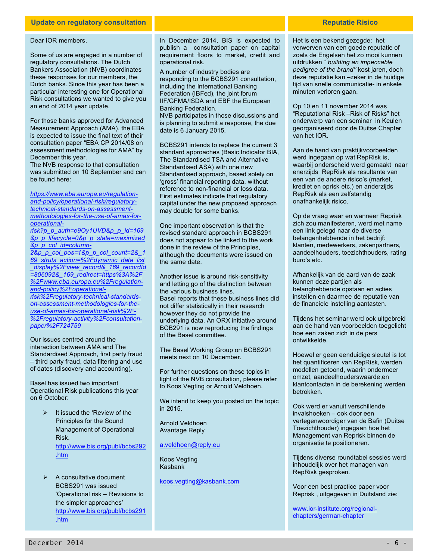# **Update on regulatory consultation Reputatie Risico**

#### Dear IOR members,

Some of us are engaged in a number of regulatory consultations. The Dutch Bankers Association (NVB) coordinates these responses for our members, the Dutch banks. Since this year has been a particular interesting one for Operational Risk consultations we wanted to give you an end of 2014 year update.

For those banks approved for Advanced Measurement Approach (AMA), the EBA is expected to issue the final text of their consultation paper "EBA CP 2014/08 on assessment methodologies for AMA" by December this year.

The NVB response to that consultation was submitted on 10 September and can be found here:

*https://www.eba.europa.eu/regulationand-policy/operational-risk/regulatorytechnical-standards-on-assessmentmethodologies-for-the-use-of-amas-foroperational-*

*risk?p\_p\_auth=e9Oy1UVD&p\_p\_id=169 &p\_p\_lifecycle=0&p\_p\_state=maximized &p\_p\_col\_id=column-*

*2&p\_p\_col\_pos=1&p\_p\_col\_count=2&\_1 69\_struts\_action=%2Fdynamic\_data\_list \_display%2Fview\_record&\_169\_recordId =806092&\_169\_redirect=https%3A%2F %2Fwww.eba.europa.eu%2Fregulationand-policy%2Foperationalrisk%2Fregulatory-technical-standardson-assessment-methodologies-for-theuse-of-amas-for-operational-risk%2F- %2Fregulatory-activity%2Fconsultationpaper%2F724759*

Our issues centred around the interaction between AMA and The Standardised Approach, first party fraud – third party fraud, data filtering and use of dates (discovery and accounting).

Basel has issued two important Operational Risk publications this year on 6 October:

- $\triangleright$  It issued the 'Review of the Principles for the Sound Management of Operational Risk. http://www.bis.org/publ/bcbs292 .htm
- $\triangleright$  A consultative document BCBS291 was issued 'Operational risk – Revisions to the simpler approaches' http://www.bis.org/publ/bcbs291 .htm

In December 2014, BIS is expected to publish a consultation paper on capital requirement floors to market, credit and operational risk.

A number of industry bodies are responding to the BCBS291 consultation, including the International Banking Federation (IBFed), the joint forum IIF/GFMA/ISDA and EBF the European Banking Federation.

NVB participates in those discussions and is planning to submit a response, the due date is 6 January 2015.

BCBS291 intends to replace the current 3 standard approaches (Basic Indicator BIA, The Standardised TSA and Alternative Standardised ASA) with one new Standardised approach, based solely on 'gross' financial reporting data, without reference to non-financial or loss data. First estimates indicate that regulatory capital under the new proposed approach may double for some banks.

One important observation is that the revised standard approach in BCBS291 does not appear to be linked to the work done in the review of the Principles, although the documents were issued on the same date.

Another issue is around risk-sensitivity and letting go of the distinction between the various business lines. Basel reports that these business lines did not differ statistically in their research however they do not provide the underlying data. An ORX initiative around BCB291 is now reproducing the findings of the Basel committee.

The Basel Working Group on BCBS291 meets next on 10 December.

For further questions on these topics in light of the NVB consultation, please refer to Koos Vegting or Arnold Veldhoen.

We intend to keep you posted on the topic in 2015.

Arnold Veldhoen Avantage Reply

a.veldhoen@reply.eu

Koos Vegting Kasbank

koos.vegting@kasbank.com

Het is een bekend gezegde: het verwerven van een goede reputatie of zoals de Engelsen het zo mooi kunnen uitdrukken *" building an impeccable pedigree of the brand''* kost jaren, doch deze reputatie kan –zeker in de huidige tijd van snelle communicatie- in enkele minuten verloren gaan.

Op 10 en 11 november 2014 was "Reputational Risk –Risk of Risks" het onderwerp van een seminar in Keulen georganiseerd door de Duitse Chapter van het IOR.

Aan de hand van praktijkvoorbeelden werd ingegaan op wat RepRisk is, waarbij onderscheid werd gemaakt naar enerzijds RepRisk als resultante van een van de andere risico's (market, krediet en oprisk etc.) en anderzijds RepRisk als een zelfstandig onafhankelijk risico.

Op de vraag waar en wanneer Reprisk zich zou manifesteren, werd met name een link gelegd naar de diverse belangenhebbende in het bedrijf: klanten, medewerkers, zakenpartners, aandeelhouders, toezichthouders, rating buro's etc.

Afhankelijk van de aard van de zaak kunnen deze partijen als belanghebbende opstaan en acties instellen en daarmee de reputatie van de financiele instelling aantasten.

Tijdens het seminar werd ook uitgebreid aan de hand van voorbeelden toegelicht hoe een zaken zich in de pers ontwikkelde.

Hoewel er geen eenduidige sleutel is tot het quantificeren van RepRisk, werden modellen getoond, waarin ondermeer omzet, aandeelhouderswaarde,en klantcontacten in de berekening werden betrokken.

Ook werd er vanuit verschillende invalshoeken – ook door een vertegenwoordiger van de Bafin (Duitse Toezichthouder) ingegaan hoe het Management van Reprisk binnen de organisatie te positioneren.

Tijdens diverse roundtabel sessies werd inhoudelijk over het managen van RepRisk gesproken.

Voor een best practice paper voor Reprisk , uitgegeven in Duitsland zie:

www.ior-institute.org/regionalchapters/german-chapter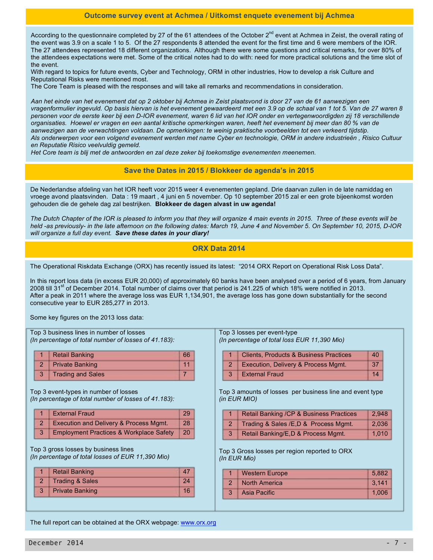According to the questionnaire completed by 27 of the 61 attendees of the October 2<sup>nd</sup> event at Achmea in Zeist, the overall rating of the event was 3.9 on a scale 1 to 5. Of the 27 respondents 8 attended the event for the first time and 6 were members of the IOR. The 27 attendees represented 18 different organizations. Although there were some questions and critical remarks, for over 80% of the attendees expectations were met. Some of the critical notes had to do with: need for more practical solutions and the time slot of the event.

With regard to topics for future events, Cyber and Technology, ORM in other industries, How to develop a risk Culture and Reputational Risks were mentioned most.

The Core Team is pleased with the responses and will take all remarks and recommendations in consideration.

*Aan het einde van het evenement dat op 2 oktober bij Achmea in Zeist plaatsvond is door 27 van de 61 aanwezigen een vragenformulier ingevuld. Op basis hiervan is het evenement gewaardeerd met een 3.9 op de schaal van 1 tot 5. Van de 27 waren 8 personen voor de eerste keer bij een D-IOR evenement, waren 6 lid van het IOR onder en vertegenwoordigden zij 18 verschillende organisaties. Hoewel er vragen en een aantal kritische opmerkingen waren, heeft het evenement bij meer dan 80 % van de aanwezigen aan de verwachtingen voldaan. De opmerkingen: te weinig praktische voorbeelden tot een verkeerd tijdstip. Als onderwerpen voor een volgend evenement werden met name Cyber en technologie, ORM in andere industrieën , Risico Cultuur en Reputatie Risico veelvuldig gemeld.*

*Het Core team is blij met de antwoorden en zal deze zeker bij toekomstige evenementen meenemen.*

# **Save the Dates in 2015 / Blokkeer de agenda's in 2015**

De Nederlandse afdeling van het IOR heeft voor 2015 weer 4 evenementen gepland. Drie daarvan zullen in de late namiddag en vroege avond plaatsvinden. Data : 19 maart , 4 juni en 5 november. Op 10 september 2015 zal er een grote bijeenkomst worden gehouden die de gehele dag zal bestrijken. **Blokkeer de dagen alvast in uw agenda!**

*The Dutch Chapter of the IOR is pleased to inform you that they will organize 4 main events in 2015. Three of these events will be held -as previously- in the late afternoon on the following dates: March 19, June 4 and November 5. On September 10, 2015, D-IOR will organize a full day event. Save these dates in your diary!*

# **ORX Data 2014**

The Operational Riskdata Exchange (ORX) has recently issued its latest: "2014 ORX Report on Operational Risk Loss Data".

In this report loss data (in excess EUR 20,000) of approximately 60 banks have been analysed over a period of 6 years, from January 2008 till 31<sup>st</sup> of December 2014. Total number of claims over that period is 241.225 of which 18% were notified in 2013. After a peak in 2011 where the average loss was EUR 1,134,901, the average loss has gone down substantially for the second consecutive year to EUR 285,277 in 2013.

Some key figures on the 2013 loss data:

Top 3 business lines in number of losses *(In percentage of total number of losses of 41.183):*

| 1 Retail Banking    | 66 |
|---------------------|----|
| 2 Private Banking   |    |
| 3 Trading and Sales |    |

Top 3 event-types in number of losses *(In percentage of total number of losses of 41.183):*

|   | 1 External Fraud                                   | 29     |
|---|----------------------------------------------------|--------|
|   | 2 Execution and Delivery & Process Mgmt.           | 287    |
| 3 | <b>Employment Practices &amp; Workplace Safety</b> | $-120$ |

Top 3 gross losses by business lines *(In percentage of total losses of EUR 11,390 Mio)*

|   | <b>Retail Banking</b>  |    |
|---|------------------------|----|
|   | 2 Trading & Sales      | 24 |
| 3 | <b>Private Banking</b> |    |

Top 3 losses per event-type *(In percentage of total loss EUR 11,390 Mio)*

| 1 Clients, Products & Business Practices | 40  |
|------------------------------------------|-----|
| 2 Execution, Delivery & Process Mgmt.    | -37 |
| 3 External Fraud                         | 14  |

Top 3 amounts of losses per business line and event type *(in EUR MIO)*

|    | Retail Banking / CP & Business Practices | 2,948 |
|----|------------------------------------------|-------|
|    | Trading & Sales /E,D & Process Mgmt.     | 2.036 |
| 31 | Retail Banking/E,D & Process Mgmt.       | 1,010 |

Top 3 Gross losses per region reported to ORX *(In EUR Mio)*

| 1 Western Europe | 5,882 |
|------------------|-------|
| 2 North America  | 3.141 |
| 3 Asia Pacific   | 1,006 |

The full report can be obtained at the ORX webpage: www.orx.org